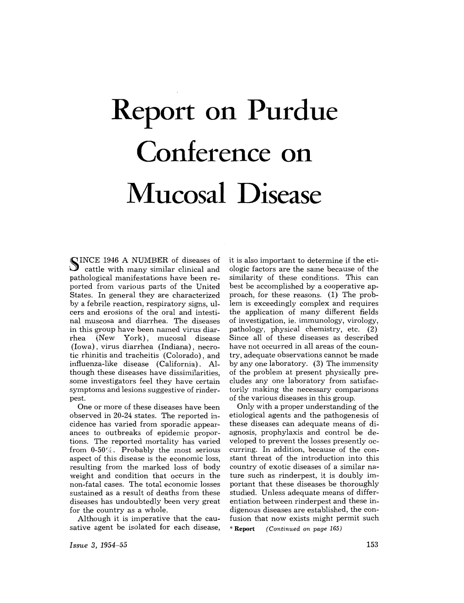# **Report on Purdue Conference on Mucosal Disease**

~ INCE 1946 A NUMBER of diseases of  $\bigcup$  cattle with many similar clinical and pathological manifestations have been reported from various parts of the United States. In general they are characterized by a febrile reaction, respiratory signs, ulcers and erosions of the oral and intestinal muscosa and diarrhea. The diseases in this group have been named virus diarrhea (New York), mucosal disease (Iowa), virus diarrhea (Indiana), necrotic rhinitis and tracheitis (Colorado), and influenza-like disease (California). Although these diseases have dissimilarities, some investigators feel they have certain symptoms and lesions suggestive of rinderpest.

One or more of these diseases have been observed in 20-24 states. The reported incidence has varied from sporadic appearances to outbreaks of epidemic proportions. The reported mortality has varied from 0-50%. Probably the most serious aspect of this disease is the economic loss, resulting from the marked loss of body weight and condition that occurs in the non-fatal cases. The total economic losses sustained as a result of deaths from these diseases has undoubtedly been very great for the country as a whole.

Although it is imperative that the causative agent be isolated for each disease,

it is also important to determine if the etiologic factors are the same because of the similarity of these conditions. This can best be accomplished by a cooperative approach, for these reasons. (1) The problem is exceedingly complex and requires the application of many different fields of investigation, ie. immunology, virology, pathology, physical chemistry, etc. (2) Since all of these diseases as described have not occurred in all areas of the country, adequate observations cannot be made by anyone laboratory. (3) The immensity of the problem at present physically precludes any one laboratory from satisfactorily making the necessary comparisons of the various diseases in this group.

Only with a proper understanding of the etiological agents and the pathogenesis of these diseases can adequate means of diagnosis, prophylaxis and control be developed to prevent the losses presently occurring. In addition, because of the constant threat of the introduction into this country of exotic diseases of a similar nature such as rinderpest, it is doubly important that these diseases be thoroughly studied. Unless adequate means of differentiation between rinderpest and these indigenous diseases are established, the confusion that now exists might permit such<br>\***Report** (Continued on page 165) *(Continued on page 165)*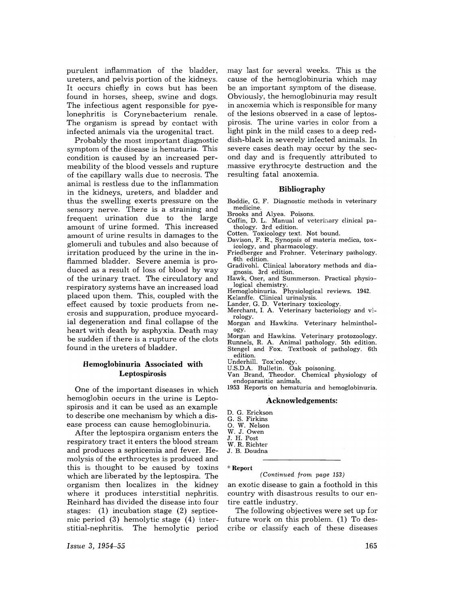purulent inflammation of the bladder, ureters, and pelvis portion of the kidneys. It occurs chiefly in cows but has been found in horses, sheep, swine and dogs. The infectious agent responsible for pyelonephritis is Corynebacterium renale. The organism is spread by contact with infected animals via the urogenital tract.

Probably the most important diagnostic symptom of the disease is hematuria. This condition is caused by an increased permeability of the blood vessels and rupture of the capillary walls due to necrosis. The animal is restless due to the inflammation in the kidneys, ureters, and bladder and thus the swelling exerts pressure on the sensory nerve. There is a straining and frequent urination due to the large amount of urine formed. This increased amount of urine results in damages to the glomeruli and tubules and also because of irritation produced by the urine in the inflammed bladder. Severe anemia is produced as a result of loss of blood by way of the urinary tract. The circulatory and respiratory systems have an increased load placed upon them. This, coupled with the effect caused by toxic products from necrosis and suppuration, produce myocardial degeneration and final collapse of the heart with death by asphyxia. Death may be sudden if there is a rupture of the clots found in the ureters of bladder.

# Hemoglobinuria Associated with Leptospirosis

One of the important diseases in which hemoglobin occurs in the urine is Leptospirosis and it can be used as an example to describe one mechanism by which a disease process can cause hemoglobinuria.

After the leptospira organism enters the respiratory tract it enters the blood stream and produces a septicemia and fever. Hemolysis of the erthrocytes is produced and this is thought to be caused by toxins which are liberated by the leptospira. The organism then localizes in the kidney where it produces interstitial nephritis. Reinhard has divided the disease into four stages: (1) incubation stage (2) septicemic period (3) hemolytic stage (4) interstitial-nephritis. The hemolytic period

may last for several weeks. This IS the cause of the hemoglobinuria which may be an important symptom of the disease. Obviously, the hemoglobinuria may result in anoxemia which is responsible for many of the lesions observed in a case of leptospirosis. The urine varies in color from a light pink in the mild cases to a deep reddish-black in severely infected animals. In severe cases death may occur by the second day and is frequently attributed to massive erythrocyte destruction and the resulting fatal anoxemia.

### **Bibliography**

Boddie, G. F. Diagnostic methods in veterinary medicine.

Brooks and Alyea. Poisons.

Coffin, D. L. Manual of veterinary clinical pathology. 3rd edition.

Cotten. Toxicology text. Not bound.

- Davison, F. R., Synopsis of materia medica, toxicology, and pharmacology.
- Friedberger and Frohner. Veterinary pathology. 6th edition.
- Gradivohl. Clinical laboratory methods and diagnosis. 3rd edition.
- Hawk, Oser, and Summerson. Practical physiological chemistry.
- Hemoglobinuria. Physiological reviews. 1942. Kelanffe. Clinical urinalysis.
- Lander, G. D. Veterinary toxicology.
- Merchant, I. A. Veterinary bacteriology and *vi*rology.
- Morgan and Hawkins. Veterinary helminthology.
- Morgan and Hawkins. Veterinary protozoology.
- Runnels, R. A. Animal pathology. 5th edition. Stengel and Fox. Textbook of pathology. 6th
- edition.

Underhill. Tox:cology.

U.S.D.A. Bulletin. Oak poisoning.

Van Brand, Theodor. Chemical physiology of endoparasitic animals.

1953 Reports on hematuria and hemoglobinuria.

#### Acknowledgements:

- D. G. Erickson
- G. S. Firkins
- O. W. Nelson
- W. J. Owen
- J. H. Post
- W. R. Richter
- J. B. Doudna

\* Report

#### *(Continued from page 153)*

an exotic disease to gain a foothold in this country with disastrous results to our entire cattle industry.

The following objectives were set up for future work on this problem. (1) To describe or classify each of these diseases

*Issue* 3, 1954-55